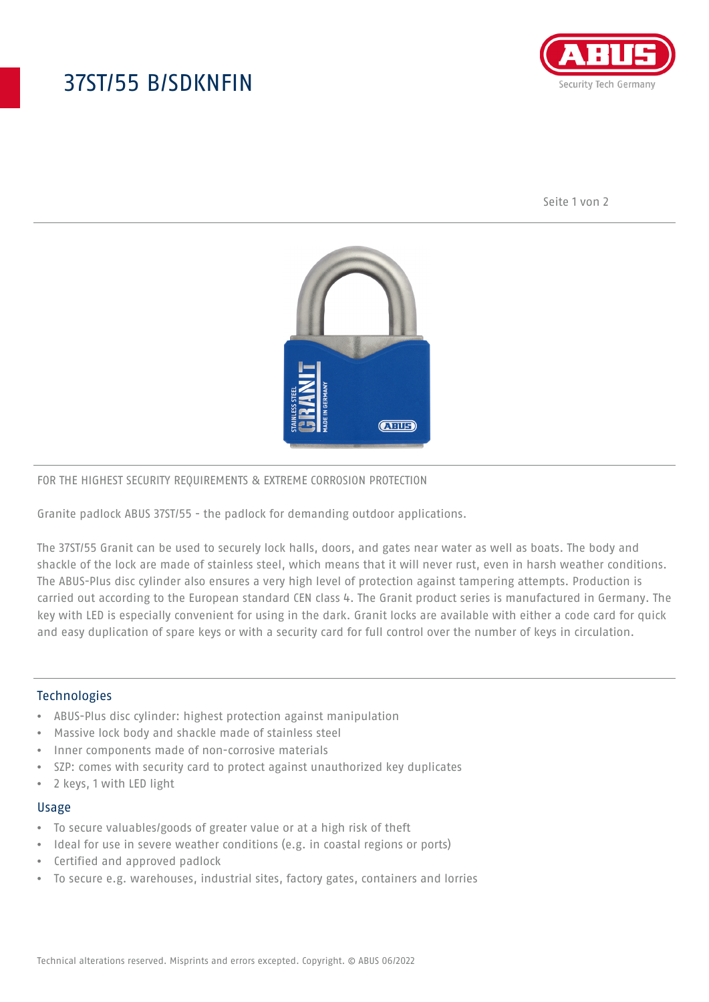# 37ST/55 B/SDKNFIN



Seite 1 von 2



### FOR THE HIGHEST SECURITY REQUIREMENTS & EXTREME CORROSION PROTECTION

Granite padlock ABUS 37ST/55 - the padlock for demanding outdoor applications.

The 37ST/55 Granit can be used to securely lock halls, doors, and gates near water as well as boats. The body and shackle of the lock are made of stainless steel, which means that it will never rust, even in harsh weather conditions. The ABUS-Plus disc cylinder also ensures a very high level of protection against tampering attempts. Production is carried out according to the European standard CEN class 4. The Granit product series is manufactured in Germany. The key with LED is especially convenient for using in the dark. Granit locks are available with either a code card for quick and easy duplication of spare keys or with a security card for full control over the number of keys in circulation.

### Technologies

- ABUS-Plus disc cylinder: highest protection against manipulation
- Massive lock body and shackle made of stainless steel
- Inner components made of non-corrosive materials
- SZP: comes with security card to protect against unauthorized key duplicates
- 2 keys, 1 with LED light

#### Usage

- To secure valuables/goods of greater value or at a high risk of theft
- Ideal for use in severe weather conditions (e.g. in coastal regions or ports)
- Certified and approved padlock
- To secure e.g. warehouses, industrial sites, factory gates, containers and lorries